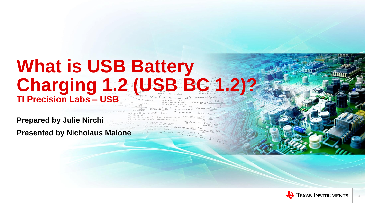# **What is USB Battery Charging 1.2 (USB BC 1.2)? TI Precision Labs – USB**

**Prepared by Julie Nirchi**

**Presented by Nicholaus Malone**



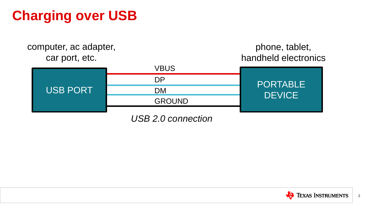# **Charging over USB**



*USB 2.0 connection*

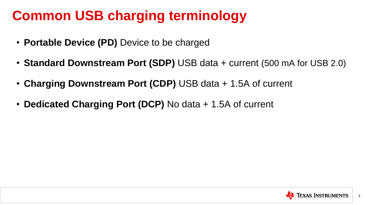# **Common USB charging terminology**

- **Portable Device (PD)** Device to be charged
- **Standard Downstream Port (SDP)** USB data + current (500 mA for USB 2.0)
- **Charging Downstream Port (CDP)** USB data + 1.5A of current
- **Dedicated Charging Port (DCP)** No data + 1.5A of current

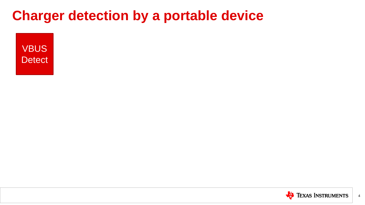**VBUS Detect** 

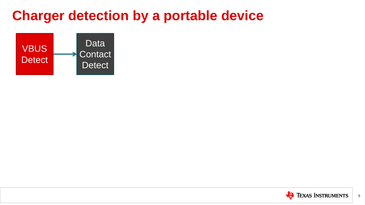

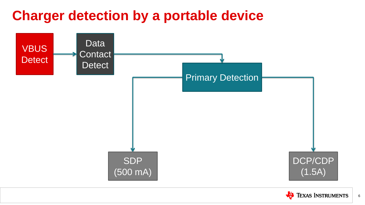



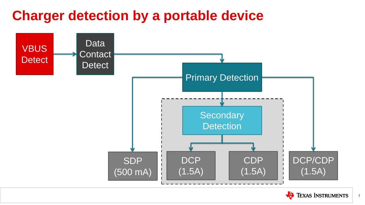



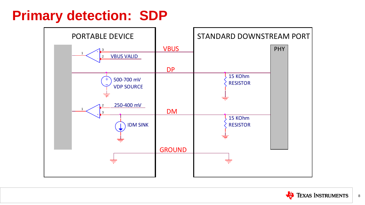## **Primary detection: SDP**



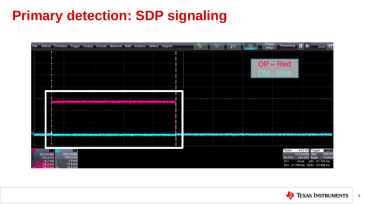# **Primary detection: SDP signaling**

|     |                                             | File Vertical Timebase Trigger Display Cursors Measure Math Analysis Utilities Support                                                                                                                                         |                                                 |                                                                                                                 |                                                                                                                                 |                                                 |                                         |                                           | ۰,                                           |                    |                                           |                                                                                                            | Trigger<br>Setup        | Pro                               |
|-----|---------------------------------------------|--------------------------------------------------------------------------------------------------------------------------------------------------------------------------------------------------------------------------------|-------------------------------------------------|-----------------------------------------------------------------------------------------------------------------|---------------------------------------------------------------------------------------------------------------------------------|-------------------------------------------------|-----------------------------------------|-------------------------------------------|----------------------------------------------|--------------------|-------------------------------------------|------------------------------------------------------------------------------------------------------------|-------------------------|-----------------------------------|
|     |                                             |                                                                                                                                                                                                                                |                                                 |                                                                                                                 |                                                                                                                                 |                                                 |                                         |                                           |                                              |                    |                                           |                                                                                                            |                         |                                   |
|     |                                             |                                                                                                                                                                                                                                |                                                 |                                                                                                                 |                                                                                                                                 |                                                 |                                         |                                           |                                              |                    |                                           |                                                                                                            | $DP - Re$               |                                   |
|     | the control of the                          | <b>Contract Contract</b>                                                                                                                                                                                                       | the contract of the contract of the contract of |                                                                                                                 | the contract of the contract of the contract of                                                                                 | the control of the control of the control of    | the control of the control of           |                                           | the control of the control of the control of | <b>State State</b> | the control of the control of the         |                                                                                                            | $DM - BI$               |                                   |
|     |                                             |                                                                                                                                                                                                                                |                                                 |                                                                                                                 |                                                                                                                                 |                                                 |                                         |                                           |                                              |                    |                                           |                                                                                                            |                         |                                   |
|     |                                             |                                                                                                                                                                                                                                |                                                 |                                                                                                                 |                                                                                                                                 |                                                 |                                         |                                           |                                              |                    |                                           |                                                                                                            |                         |                                   |
|     |                                             |                                                                                                                                                                                                                                |                                                 |                                                                                                                 |                                                                                                                                 |                                                 |                                         |                                           |                                              |                    |                                           |                                                                                                            |                         |                                   |
|     |                                             | أحمدها والمتعاطف والمنا                                                                                                                                                                                                        |                                                 |                                                                                                                 | المناقب المستور المتوافق المتنازي المستقر المستقر المتوافق المناقب المناقب المناقب المستقر المناقب المستقر المناسبات والمستقرات |                                                 |                                         |                                           |                                              |                    |                                           |                                                                                                            |                         |                                   |
|     |                                             |                                                                                                                                                                                                                                |                                                 |                                                                                                                 |                                                                                                                                 |                                                 |                                         |                                           |                                              |                    |                                           |                                                                                                            |                         |                                   |
|     |                                             | $\sim$                                                                                                                                                                                                                         |                                                 | the contract of the contract of the contract of the contract of the contract of the contract of the contract of |                                                                                                                                 | the contract of the contract of the contract of | the first product of the control of the |                                           |                                              |                    | $\sim$ $\sim$ $\sim$ $\sim$ $\sim$ $\sim$ | the control of the con-                                                                                    | the control of the con- | <b>Contract Contract Contract</b> |
|     |                                             | n sedan bidayim sebabkan yilan selan ing ida mangang masalkata pada pama dimikan di timbar, sindik tik ada ang sinasa dasi midalah sebagai kan sebagai tanggal tidak di tanggal tidak di tanggal tidak di tanggal tidak di tan |                                                 |                                                                                                                 | <u>man an an am ata ang Halamma ang karatay na sarang tar</u>                                                                   |                                                 | an o se se a didacto com                | and the contract of the local division in |                                              |                    |                                           | ويسترد سأبأد فأحصحه والتتحمية المتوزين يستنون ليوسع يمانها أنسخه الأساح يتعاصر بشأوات الاستبرائيون والشامس |                         | <u>aindra ann an </u>             |
|     |                                             |                                                                                                                                                                                                                                |                                                 |                                                                                                                 |                                                                                                                                 |                                                 |                                         |                                           |                                              |                    |                                           |                                                                                                            |                         |                                   |
|     | 250 mV/div                                  | $\text{D}$ $\text{C}$ $\text{C}$ $\text{C}$ $\text{D}$                                                                                                                                                                         | DC <br>250 mV/div                               |                                                                                                                 |                                                                                                                                 |                                                 |                                         |                                           |                                              |                    |                                           |                                                                                                            |                         |                                   |
|     | $-755.0$ mV<br>$-6.7$ mV $\vert \downarrow$ |                                                                                                                                                                                                                                | $-750.0$ mV<br>$-1.9$ mV                        |                                                                                                                 |                                                                                                                                 |                                                 |                                         |                                           |                                              |                    |                                           |                                                                                                            |                         |                                   |
| 'Av | 29.3 mV<br>36.0 mV $\Delta v$               |                                                                                                                                                                                                                                | 17.6 mV<br>19.5 mV                              |                                                                                                                 |                                                                                                                                 |                                                 |                                         |                                           |                                              |                    |                                           |                                                                                                            |                         |                                   |



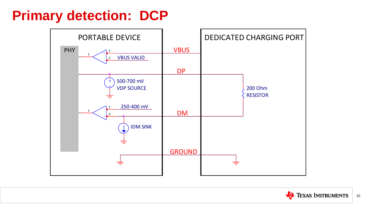## **Primary detection: DCP**





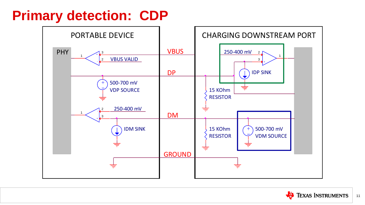# **Primary detection: CDP**



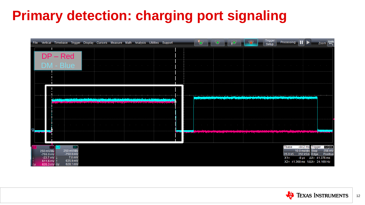# **Primary detection: charging port signaling**

|                                                       |               | File Vertical Timebase Trigger Display Cursors Measure Math Analysis Utilities Support |  |                                                                                                                           |  |  |  | ۰,                                     | $\bullet$ |  |  | Trigger<br>Setup | Processing:                                                                                                                                                                                                                                                                                                                                                               |                                                               | $Zoom$ Urdo                                                                                |                            |
|-------------------------------------------------------|---------------|----------------------------------------------------------------------------------------|--|---------------------------------------------------------------------------------------------------------------------------|--|--|--|----------------------------------------|-----------|--|--|------------------|---------------------------------------------------------------------------------------------------------------------------------------------------------------------------------------------------------------------------------------------------------------------------------------------------------------------------------------------------------------------------|---------------------------------------------------------------|--------------------------------------------------------------------------------------------|----------------------------|
|                                                       | $DP - Red$    |                                                                                        |  |                                                                                                                           |  |  |  |                                        |           |  |  |                  |                                                                                                                                                                                                                                                                                                                                                                           |                                                               |                                                                                            |                            |
|                                                       |               | DM - Blue                                                                              |  |                                                                                                                           |  |  |  |                                        |           |  |  |                  |                                                                                                                                                                                                                                                                                                                                                                           |                                                               |                                                                                            |                            |
|                                                       |               |                                                                                        |  |                                                                                                                           |  |  |  |                                        |           |  |  |                  |                                                                                                                                                                                                                                                                                                                                                                           |                                                               |                                                                                            |                            |
|                                                       |               |                                                                                        |  |                                                                                                                           |  |  |  |                                        |           |  |  |                  |                                                                                                                                                                                                                                                                                                                                                                           |                                                               |                                                                                            |                            |
|                                                       |               |                                                                                        |  | وأصحبتهم فروا بوريم أيتم أوجها أوروس المتماس الأخاريات بالمتركة والخريبة بالشريبي أوي فيخار والتركة ومسالف بالترخيص ليستر |  |  |  |                                        |           |  |  |                  | <u>in andre in den benannsnere derken ende i en plit benannt en man annat an der balde sårgen er sold in kanns af århende bes</u><br><u>on shall and same is bendedikelin im "ublim de millennis shallen in millen in biblim in millen shall shall millen in millen in handelin shall shall millen in biblim in hande it bibliothat i hande it bibliothat i handball </u> |                                                               |                                                                                            |                            |
|                                                       |               |                                                                                        |  |                                                                                                                           |  |  |  |                                        |           |  |  |                  |                                                                                                                                                                                                                                                                                                                                                                           |                                                               |                                                                                            |                            |
|                                                       |               |                                                                                        |  |                                                                                                                           |  |  |  |                                        |           |  |  |                  |                                                                                                                                                                                                                                                                                                                                                                           |                                                               |                                                                                            |                            |
|                                                       |               |                                                                                        |  |                                                                                                                           |  |  |  | وليستقطان والقاضطس يثناه والمتأرة الفا |           |  |  |                  |                                                                                                                                                                                                                                                                                                                                                                           | $\sim$ 100 $\mu$                                              |                                                                                            |                            |
|                                                       |               |                                                                                        |  |                                                                                                                           |  |  |  |                                        |           |  |  |                  |                                                                                                                                                                                                                                                                                                                                                                           |                                                               |                                                                                            |                            |
| 250 mV/div<br>$-755.0$ mV                             | $\log$ $ C3 $ | DC <br>250 mV/div<br>$-750.0$ mV                                                       |  |                                                                                                                           |  |  |  |                                        |           |  |  |                  | Tbase                                                                                                                                                                                                                                                                                                                                                                     | -44.2 ms Trigger<br>10.0 ms/div Stop<br>25.0 kS 250 kS/s Edge |                                                                                            | C200<br>256 mV<br>Positive |
| $-23.7$ mV $\vert$<br>611.6 mV<br>635.3 mV $\Delta y$ |               | $7.8$ mV<br>635.9 mV<br>628.1 mV                                                       |  |                                                                                                                           |  |  |  |                                        |           |  |  |                  | $X1 =$                                                                                                                                                                                                                                                                                                                                                                    |                                                               | $-8 \,\mu s$ $\Delta X = 41.376 \,\text{ms}$<br>X2= 41.368 ms 1/ $\triangle X$ = 24.169 Hz |                            |



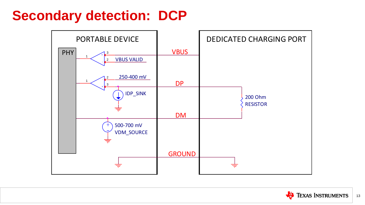## **Secondary detection: DCP**





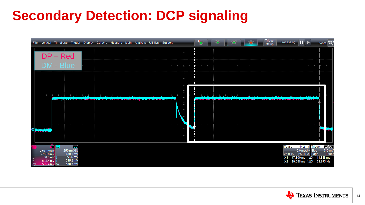# **Secondary Detection: DCP signaling**

|    | File Vertical Timebase Trigger Display Cursors Measure Math Analysis Utilities Support |                           |                                        |                                   |                                   |                                                                                                                                                                |                  |                                              |                                                                 |  | $\bullet$ $\bullet$      | - 9                                                        | 19                                              |                         |                                              | Trigger<br>Setup | Pro                      |
|----|----------------------------------------------------------------------------------------|---------------------------|----------------------------------------|-----------------------------------|-----------------------------------|----------------------------------------------------------------------------------------------------------------------------------------------------------------|------------------|----------------------------------------------|-----------------------------------------------------------------|--|--------------------------|------------------------------------------------------------|-------------------------------------------------|-------------------------|----------------------------------------------|------------------|--------------------------|
|    |                                                                                        | $DP - Red$                |                                        |                                   |                                   |                                                                                                                                                                |                  |                                              |                                                                 |  |                          |                                                            |                                                 |                         |                                              |                  |                          |
|    |                                                                                        | DM - Blue                 |                                        | $\sim$ 100 $\mu$                  |                                   | the control of the control of the control of                                                                                                                   |                  | the control of the control of the control of | The contract of the contract of the contract of the contract of |  | the contract of the con- |                                                            | the contract of the contract of the contract of |                         | the control of the control of the control of |                  | <b>Contract Contract</b> |
|    |                                                                                        |                           |                                        |                                   |                                   |                                                                                                                                                                |                  |                                              |                                                                 |  |                          |                                                            |                                                 |                         |                                              |                  |                          |
|    |                                                                                        |                           |                                        |                                   |                                   |                                                                                                                                                                |                  |                                              |                                                                 |  |                          |                                                            |                                                 |                         |                                              |                  |                          |
|    |                                                                                        |                           |                                        |                                   |                                   | الاخشوا مؤمر لأحش أمش والشغابية ويتأمله وأولوها والخالف فرقابا والماليان والمتاطف المرافق والمشار أحم مشما ومختلف وأرقان وأرضاء أنتم والمتناقص وأسار والمتناقص |                  |                                              |                                                                 |  | <b>STATISTICS</b>        | وبعالا ومعاز القروف فالراوي الموقف فالسيار فانزيلت والرقيب |                                                 | <b>B. BAR A. THA AR</b> |                                              |                  |                          |
|    |                                                                                        |                           |                                        |                                   |                                   |                                                                                                                                                                |                  |                                              |                                                                 |  |                          |                                                            |                                                 |                         |                                              |                  |                          |
| œ  | and the state<br><b>The State of Links</b>                                             | $\sim$                    | <b>Contract Contract</b>               | the control of the control of the | the control of the control of the |                                                                                                                                                                | $\sim$ 100 $\mu$ | the contract of the contract of<br>$\sim$    | the control of the control of                                   |  | and the state of         |                                                            | <b>Contract Contract Contract</b>               |                         | the control of the control of the            |                  | <b>Contract Contract</b> |
|    |                                                                                        |                           |                                        |                                   |                                   |                                                                                                                                                                |                  |                                              |                                                                 |  |                          |                                                            |                                                 |                         |                                              |                  |                          |
|    | 250 mV/div<br>$-755.0$ mV                                                              | $\boxed{00}$ $\boxed{C3}$ | <b>DC</b><br>250 mV/div<br>$-750.0$ mV |                                   |                                   |                                                                                                                                                                |                  |                                              |                                                                 |  |                          |                                                            |                                                 |                         |                                              |                  |                          |
| Δ١ | 50.0 mV 1<br>612.4 mV 1<br>562.4 mV Δy                                                 |                           | 56.6 mV<br>615.2 mV<br>558.6 mV        |                                   |                                   |                                                                                                                                                                |                  |                                              |                                                                 |  |                          |                                                            |                                                 |                         |                                              |                  |                          |



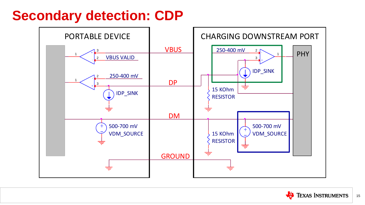## **Secondary detection: CDP**



| <b>AM PORT</b> |            |  |  |  |  |  |  |  |  |  |  |  |
|----------------|------------|--|--|--|--|--|--|--|--|--|--|--|
|                | <b>PHY</b> |  |  |  |  |  |  |  |  |  |  |  |
|                |            |  |  |  |  |  |  |  |  |  |  |  |
|                |            |  |  |  |  |  |  |  |  |  |  |  |
|                |            |  |  |  |  |  |  |  |  |  |  |  |
|                |            |  |  |  |  |  |  |  |  |  |  |  |
| E              |            |  |  |  |  |  |  |  |  |  |  |  |
|                |            |  |  |  |  |  |  |  |  |  |  |  |
|                |            |  |  |  |  |  |  |  |  |  |  |  |

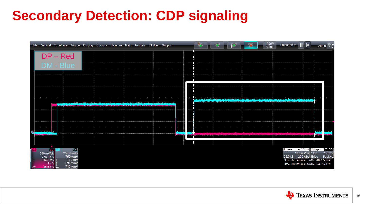# **Secondary Detection: CDP signaling**

|     | File Vertical Timebase Trigger Display Cursors Measure Math Analysis Utilities Support          |                                                                                                                                     |                                              |                                                                                                                 | $\mathbf{e}_{\mathbf{C}}$                                                                                                                                                                                                                   | Trigger<br>Pro<br>Setup                                 |
|-----|-------------------------------------------------------------------------------------------------|-------------------------------------------------------------------------------------------------------------------------------------|----------------------------------------------|-----------------------------------------------------------------------------------------------------------------|---------------------------------------------------------------------------------------------------------------------------------------------------------------------------------------------------------------------------------------------|---------------------------------------------------------|
|     | $DP - Red$                                                                                      |                                                                                                                                     |                                              |                                                                                                                 |                                                                                                                                                                                                                                             |                                                         |
|     | DM - Blue                                                                                       | $\sim$<br>the control of the control of the                                                                                         |                                              | the contract of the contract of the contract of the contract of the contract of the contract of the contract of | the control of the control of<br>the contract of the contract of the contract of the contract of the contract of                                                                                                                            | contract and state                                      |
|     |                                                                                                 |                                                                                                                                     |                                              |                                                                                                                 |                                                                                                                                                                                                                                             |                                                         |
|     |                                                                                                 |                                                                                                                                     |                                              |                                                                                                                 |                                                                                                                                                                                                                                             |                                                         |
|     |                                                                                                 |                                                                                                                                     | وبرين المساكة والمتواصلين المشروق ومساهد     |                                                                                                                 | ومال والشخص والتأريض والرواقي الموالي الروائية والمتوافق والمترابطة والمتراسية والمتواطن والمتحددة المروا<br>1<br>التعميل بالمتنافية المتنوف ومناسف فانتقد ونندويت ويفرده فالمناف ومداد المتنانيا لينتنا بنيا ويشتا ويفيلهم أيشوه والمستحير |                                                         |
|     |                                                                                                 | نس نوگان از نام خاگذنگ خاوار به نامنا به خار ای این از خواهد این از خور برای از است و به مناول خارج با از از این از است از است است. |                                              |                                                                                                                 |                                                                                                                                                                                                                                             |                                                         |
|     | $\sim$ $\sim$                                                                                   |                                                                                                                                     | the control of the control of the control of | the second control of the                                                                                       | the contract of the contract of                                                                                                                                                                                                             | the control of the control of the<br>contract and state |
| C3. | the control of the control of the con-<br>a send the best completely the                        | the control of the control of the control of                                                                                        |                                              |                                                                                                                 | the contract of the con-                                                                                                                                                                                                                    |                                                         |
|     |                                                                                                 |                                                                                                                                     |                                              |                                                                                                                 |                                                                                                                                                                                                                                             |                                                         |
|     | $\boxed{CD}$ $\boxed{C3}$<br> DC <br>250 mV/div<br>250 mV/div<br>$-750.0$ mV<br>$-755.0$ mV     |                                                                                                                                     |                                              |                                                                                                                 |                                                                                                                                                                                                                                             |                                                         |
| Δy  | $-11.7$ mV<br>$-14.5$ mV $\downarrow$<br>699.2 mV<br>$1.1 \text{ mV}$<br>710.9 mV<br>15.6 mV Δy |                                                                                                                                     |                                              |                                                                                                                 |                                                                                                                                                                                                                                             |                                                         |



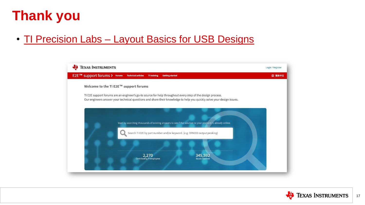# **Thank you**

• TI Precision Labs - [Layout Basics for USB Designs](https://training.ti.com/layout-basics-for-usb-designs?context=1139747-1138099-1139813-1138770)



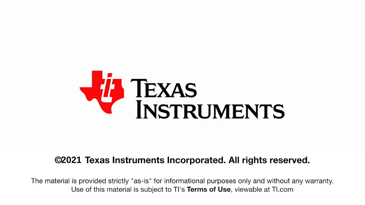

#### **2021 Texas Instruments Incorporated. All rights reserved.**

The material is provided strictly "as-is" for informational purposes only and without any warranty. Use of this material is subject to TI's Terms of Use, viewable at TI.com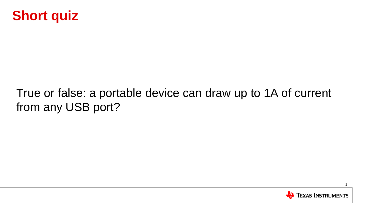

### True or false: a portable device can draw up to 1A of current from any USB port?



1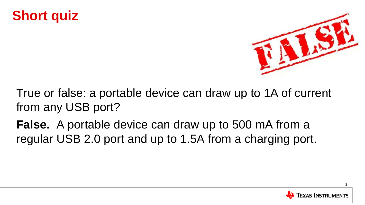### **Short quiz**



True or false: a portable device can draw up to 1A of current from any USB port?

**False.** A portable device can draw up to 500 mA from a regular USB 2.0 port and up to 1.5A from a charging port.

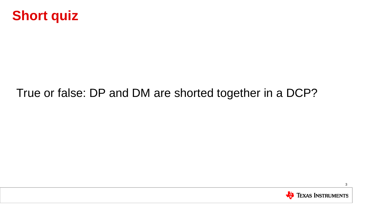

#### True or false: DP and DM are shorted together in a DCP?

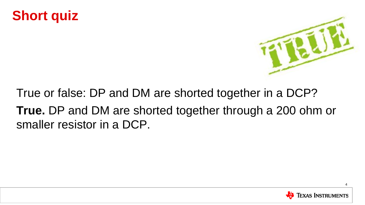### **Short quiz**



True or false: DP and DM are shorted together in a DCP? **True.** DP and DM are shorted together through a 200 ohm or smaller resistor in a DCP.

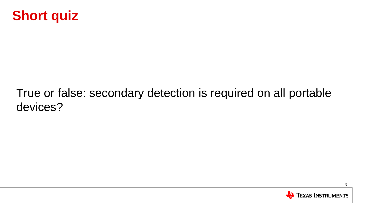

### True or false: secondary detection is required on all portable devices?

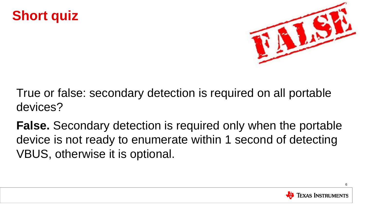### **Short quiz**



True or false: secondary detection is required on all portable devices?

**False.** Secondary detection is required only when the portable device is not ready to enumerate within 1 second of detecting VBUS, otherwise it is optional.



6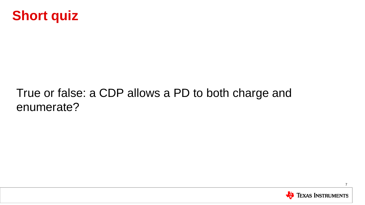

#### True or false: a CDP allows a PD to both charge and enumerate?